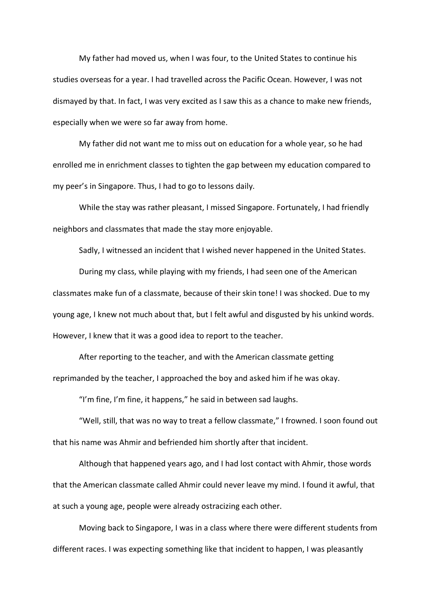My father had moved us, when I was four, to the United States to continue his studies overseas for a year. I had travelled across the Pacific Ocean. However, I was not dismayed by that. In fact, I was very excited as I saw this as a chance to make new friends, especially when we were so far away from home.

My father did not want me to miss out on education for a whole year, so he had enrolled me in enrichment classes to tighten the gap between my education compared to my peer's in Singapore. Thus, I had to go to lessons daily.

While the stay was rather pleasant, I missed Singapore. Fortunately, I had friendly neighbors and classmates that made the stay more enjoyable.

Sadly, I witnessed an incident that I wished never happened in the United States.

During my class, while playing with my friends, I had seen one of the American classmates make fun of a classmate, because of their skin tone! I was shocked. Due to my young age, I knew not much about that, but I felt awful and disgusted by his unkind words. However, I knew that it was a good idea to report to the teacher.

After reporting to the teacher, and with the American classmate getting reprimanded by the teacher, I approached the boy and asked him if he was okay.

"I'm fine, I'm fine, it happens," he said in between sad laughs.

"Well, still, that was no way to treat a fellow classmate," I frowned. I soon found out that his name was Ahmir and befriended him shortly after that incident.

Although that happened years ago, and I had lost contact with Ahmir, those words that the American classmate called Ahmir could never leave my mind. I found it awful, that at such a young age, people were already ostracizing each other.

Moving back to Singapore, I was in a class where there were different students from different races. I was expecting something like that incident to happen, I was pleasantly